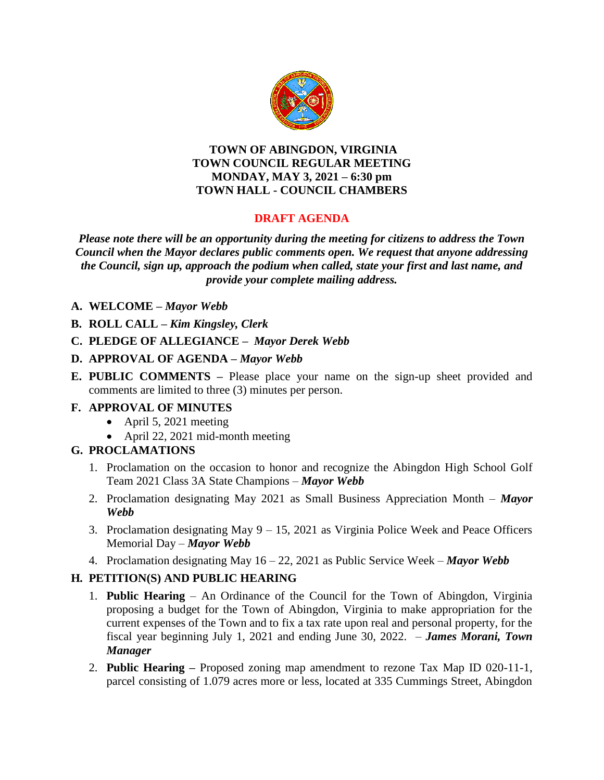

#### **TOWN OF ABINGDON, VIRGINIA TOWN COUNCIL REGULAR MEETING MONDAY, MAY 3, 2021 – 6:30 pm TOWN HALL - COUNCIL CHAMBERS**

# **DRAFT AGENDA**

*Please note there will be an opportunity during the meeting for citizens to address the Town Council when the Mayor declares public comments open. We request that anyone addressing the Council, sign up, approach the podium when called, state your first and last name, and provide your complete mailing address.*

- **A. WELCOME –** *Mayor Webb*
- **B. ROLL CALL –** *Kim Kingsley, Clerk*
- **C. PLEDGE OF ALLEGIANCE –** *Mayor Derek Webb*
- **D. APPROVAL OF AGENDA –** *Mayor Webb*
- **E. PUBLIC COMMENTS –** Please place your name on the sign-up sheet provided and comments are limited to three (3) minutes per person.

# **F. APPROVAL OF MINUTES**

- April 5, 2021 meeting
- April 22, 2021 mid-month meeting

# **G. PROCLAMATIONS**

- 1. Proclamation on the occasion to honor and recognize the Abingdon High School Golf Team 2021 Class 3A State Champions – *Mayor Webb*
- 2. Proclamation designating May 2021 as Small Business Appreciation Month *Mayor Webb*
- 3. Proclamation designating May 9 15, 2021 as Virginia Police Week and Peace Officers Memorial Day – *Mayor Webb*
- 4. Proclamation designating May 16 22, 2021 as Public Service Week *Mayor Webb*

# **H***.* **PETITION(S) AND PUBLIC HEARING**

- 1. **Public Hearing** An Ordinance of the Council for the Town of Abingdon, Virginia proposing a budget for the Town of Abingdon, Virginia to make appropriation for the current expenses of the Town and to fix a tax rate upon real and personal property, for the fiscal year beginning July 1, 2021 and ending June 30, 2022. – *James Morani, Town Manager*
- 2. **Public Hearing –** Proposed zoning map amendment to rezone Tax Map ID 020-11-1, parcel consisting of 1.079 acres more or less, located at 335 Cummings Street, Abingdon